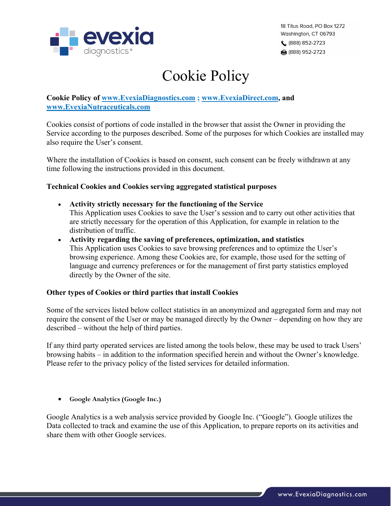

# Cookie Policy

# **Cookie Policy of www.EvexiaDiagnostics.com ; www.EvexiaDirect.com, and www.EvexiaNutraceuticals.com**

Cookies consist of portions of code installed in the browser that assist the Owner in providing the Service according to the purposes described. Some of the purposes for which Cookies are installed may also require the User's consent.

Where the installation of Cookies is based on consent, such consent can be freely withdrawn at any time following the instructions provided in this document.

# **Technical Cookies and Cookies serving aggregated statistical purposes**

- **Activity strictly necessary for the functioning of the Service** This Application uses Cookies to save the User's session and to carry out other activities that are strictly necessary for the operation of this Application, for example in relation to the distribution of traffic.
- **Activity regarding the saving of preferences, optimization, and statistics** This Application uses Cookies to save browsing preferences and to optimize the User's browsing experience. Among these Cookies are, for example, those used for the setting of language and currency preferences or for the management of first party statistics employed directly by the Owner of the site.

# **Other types of Cookies or third parties that install Cookies**

Some of the services listed below collect statistics in an anonymized and aggregated form and may not require the consent of the User or may be managed directly by the Owner – depending on how they are described – without the help of third parties.

If any third party operated services are listed among the tools below, these may be used to track Users' browsing habits – in addition to the information specified herein and without the Owner's knowledge. Please refer to the privacy policy of the listed services for detailed information.

• **Google Analytics (Google Inc.)**

Google Analytics is a web analysis service provided by Google Inc. ("Google"). Google utilizes the Data collected to track and examine the use of this Application, to prepare reports on its activities and share them with other Google services.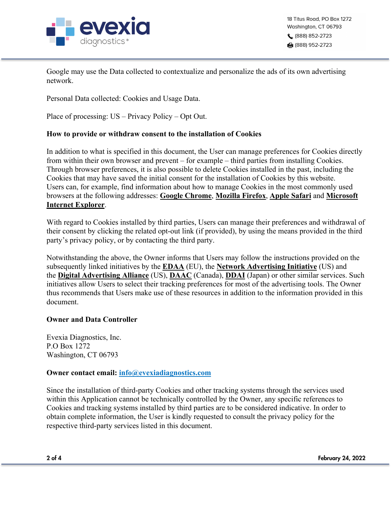

Google may use the Data collected to contextualize and personalize the ads of its own advertising network.

Personal Data collected: Cookies and Usage Data.

Place of processing: US – Privacy Policy – Opt Out.

# **How to provide or withdraw consent to the installation of Cookies**

In addition to what is specified in this document, the User can manage preferences for Cookies directly from within their own browser and prevent – for example – third parties from installing Cookies. Through browser preferences, it is also possible to delete Cookies installed in the past, including the Cookies that may have saved the initial consent for the installation of Cookies by this website. Users can, for example, find information about how to manage Cookies in the most commonly used browsers at the following addresses: **Google Chrome**, **Mozilla Firefox**, **Apple Safari** and **Microsoft Internet Explorer**.

With regard to Cookies installed by third parties, Users can manage their preferences and withdrawal of their consent by clicking the related opt-out link (if provided), by using the means provided in the third party's privacy policy, or by contacting the third party.

Notwithstanding the above, the Owner informs that Users may follow the instructions provided on the subsequently linked initiatives by the **EDAA** (EU), the **Network Advertising Initiative** (US) and the **Digital Advertising Alliance** (US), **DAAC** (Canada), **DDAI** (Japan) or other similar services. Such initiatives allow Users to select their tracking preferences for most of the advertising tools. The Owner thus recommends that Users make use of these resources in addition to the information provided in this document.

# **Owner and Data Controller**

Evexia Diagnostics, Inc. P.O Box 1272 Washington, CT 06793

# **Owner contact email: info@evexiadiagnostics.com**

Since the installation of third-party Cookies and other tracking systems through the services used within this Application cannot be technically controlled by the Owner, any specific references to Cookies and tracking systems installed by third parties are to be considered indicative. In order to obtain complete information, the User is kindly requested to consult the privacy policy for the respective third-party services listed in this document.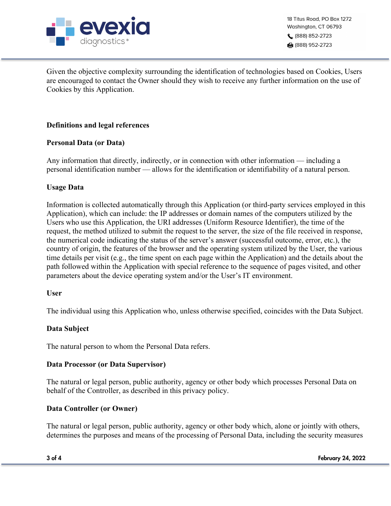

18 Titus Road, PO Box 1272 Washington, CT 06793 (888) 852-2723 ਿਗ (888) 952-2723

Given the objective complexity surrounding the identification of technologies based on Cookies, Users are encouraged to contact the Owner should they wish to receive any further information on the use of Cookies by this Application.

# **Definitions and legal references**

## **Personal Data (or Data)**

Any information that directly, indirectly, or in connection with other information — including a personal identification number — allows for the identification or identifiability of a natural person.

## **Usage Data**

Information is collected automatically through this Application (or third-party services employed in this Application), which can include: the IP addresses or domain names of the computers utilized by the Users who use this Application, the URI addresses (Uniform Resource Identifier), the time of the request, the method utilized to submit the request to the server, the size of the file received in response, the numerical code indicating the status of the server's answer (successful outcome, error, etc.), the country of origin, the features of the browser and the operating system utilized by the User, the various time details per visit (e.g., the time spent on each page within the Application) and the details about the path followed within the Application with special reference to the sequence of pages visited, and other parameters about the device operating system and/or the User's IT environment.

#### **User**

The individual using this Application who, unless otherwise specified, coincides with the Data Subject.

# **Data Subject**

The natural person to whom the Personal Data refers.

#### **Data Processor (or Data Supervisor)**

The natural or legal person, public authority, agency or other body which processes Personal Data on behalf of the Controller, as described in this privacy policy.

#### **Data Controller (or Owner)**

The natural or legal person, public authority, agency or other body which, alone or jointly with others, determines the purposes and means of the processing of Personal Data, including the security measures